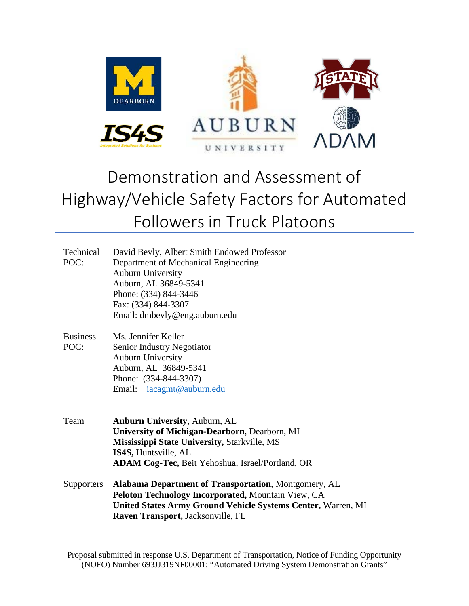

# Demonstration and Assessment of Highway/Vehicle Safety Factors for Automated Followers in Truck Platoons

| Technical         | David Bevly, Albert Smith Endowed Professor                  |  |  |  |  |  |  |  |
|-------------------|--------------------------------------------------------------|--|--|--|--|--|--|--|
| POC:              | Department of Mechanical Engineering                         |  |  |  |  |  |  |  |
|                   | <b>Auburn University</b>                                     |  |  |  |  |  |  |  |
|                   | Auburn, AL 36849-5341                                        |  |  |  |  |  |  |  |
|                   | Phone: (334) 844-3446                                        |  |  |  |  |  |  |  |
|                   | Fax: (334) 844-3307                                          |  |  |  |  |  |  |  |
|                   | Email: dmbevly@eng.auburn.edu                                |  |  |  |  |  |  |  |
|                   |                                                              |  |  |  |  |  |  |  |
| <b>Business</b>   | Ms. Jennifer Keller                                          |  |  |  |  |  |  |  |
| POC:              | Senior Industry Negotiator                                   |  |  |  |  |  |  |  |
|                   | <b>Auburn University</b>                                     |  |  |  |  |  |  |  |
|                   | Auburn, AL 36849-5341                                        |  |  |  |  |  |  |  |
|                   | Phone: (334-844-3307)                                        |  |  |  |  |  |  |  |
|                   | Email: iacagmt@auburn.edu                                    |  |  |  |  |  |  |  |
|                   |                                                              |  |  |  |  |  |  |  |
| Team              | <b>Auburn University, Auburn, AL</b>                         |  |  |  |  |  |  |  |
|                   | University of Michigan-Dearborn, Dearborn, MI                |  |  |  |  |  |  |  |
|                   | <b>Mississippi State University, Starkville, MS</b>          |  |  |  |  |  |  |  |
|                   | IS4S, Huntsville, AL                                         |  |  |  |  |  |  |  |
|                   | <b>ADAM Cog-Tec, Beit Yehoshua, Israel/Portland, OR</b>      |  |  |  |  |  |  |  |
|                   |                                                              |  |  |  |  |  |  |  |
| <b>Supporters</b> | <b>Alabama Department of Transportation, Montgomery, AL</b>  |  |  |  |  |  |  |  |
|                   | Peloton Technology Incorporated, Mountain View, CA           |  |  |  |  |  |  |  |
|                   | United States Army Ground Vehicle Systems Center, Warren, MI |  |  |  |  |  |  |  |
|                   | Raven Transport, Jacksonville, FL                            |  |  |  |  |  |  |  |

Proposal submitted in response U.S. Department of Transportation, Notice of Funding Opportunity (NOFO) Number 693JJ319NF00001: "Automated Driving System Demonstration Grants"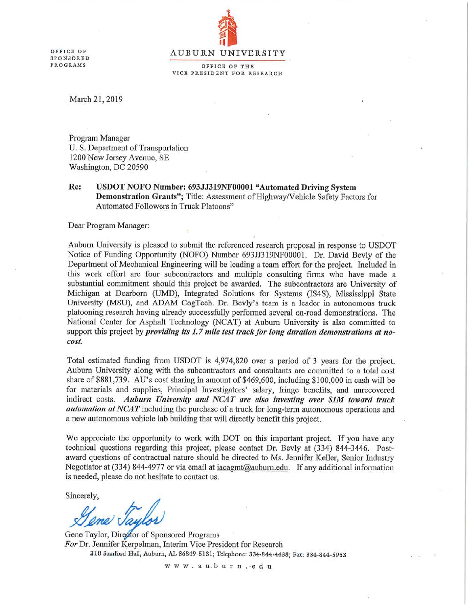OFFICE OF **SPONSORED PROGRAMS** 



OFFICE OF THE VICE PRESIDENT FOR RESEARCH

March 21, 2019

Program Manager U. S. Department of Transportation 1200 New Jersey Avenue, SE Washington, DC 20590

Re: USDOT NOFO Number: 693JJ319NF00001 "Automated Driving System Demonstration Grants"; Title: Assessment of Highway/Vehicle Safety Factors for Automated Followers in Truck Platoons"

Dear Program Manager:

Auburn University is pleased to submit the referenced research proposal in response to USDOT Notice of Funding Opportunity (NOFO) Number 693JJ319NF00001. Dr. David Bevly of the Department of Mechanical Engineering will be leading a team effort for the project. Included in this work effort are four subcontractors and multiple consulting firms who have made a substantial commitment should this project be awarded. The subcontractors are University of Michigan at Dearborn (UMD), Integrated Solutions for Systems (IS4S), Mississippi State University (MSU), and ADAM CogTech. Dr. Bevly's team is a leader in autonomous truck platooning research having already successfully performed several on-road demonstrations. The National Center for Asphalt Technology (NCAT) at Auburn University is also committed to support this project by *providing its 1.7 mile test track for long duration demonstrations at no*cost.

Total estimated funding from USDOT is 4,974,820 over a period of 3 years for the project. Auburn University along with the subcontractors and consultants are committed to a total cost share of \$881,739. AU's cost sharing in amount of \$469,600, including \$100,000 in cash will be for materials and supplies, Principal Investigators' salary, fringe benefits, and unrecovered indirect costs. Auburn University and NCAT are also investing over \$1M toward truck automation at NCAT including the purchase of a truck for long-term autonomous operations and a new autonomous vehicle lab building that will directly benefit this project.

We appreciate the opportunity to work with DOT on this important project. If you have any technical questions regarding this project, please contact Dr. Bevly at (334) 844-3446. Postaward questions of contractual nature should be directed to Ms. Jennifer Keller, Senior Industry Negotiator at (334) 844-4977 or via email at iacagmt@auburn.edu. If any additional information is needed, please do not hesitate to contact us.

Sincerely,

 $\mathscr{D}$  Son

Gene Taylor, Director of Sponsored Programs For Dr. Jennifer Kerpelman, Interim Vice President for Research 310 Samford Hall, Auburn, AL 36849-5131; Telephone: 334-844-4438; Fax: 334-844-5953

www.au.burn..cdu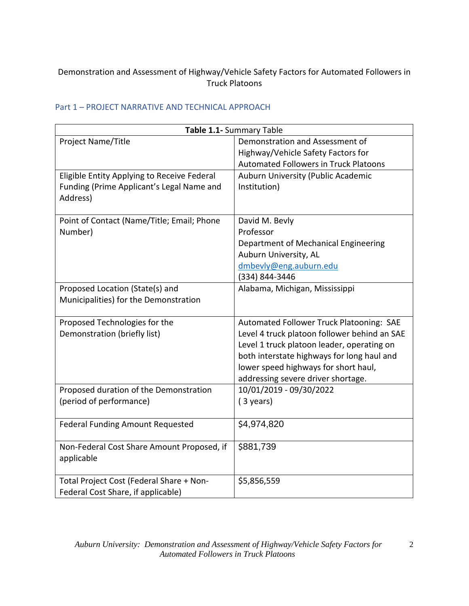## Demonstration and Assessment of Highway/Vehicle Safety Factors for Automated Followers in Truck Platoons

| Table 1.1- Summary Table                              |                                              |  |  |  |  |
|-------------------------------------------------------|----------------------------------------------|--|--|--|--|
| Project Name/Title                                    | Demonstration and Assessment of              |  |  |  |  |
|                                                       | Highway/Vehicle Safety Factors for           |  |  |  |  |
|                                                       | <b>Automated Followers in Truck Platoons</b> |  |  |  |  |
| Eligible Entity Applying to Receive Federal           | Auburn University (Public Academic           |  |  |  |  |
| Funding (Prime Applicant's Legal Name and<br>Address) | Institution)                                 |  |  |  |  |
| Point of Contact (Name/Title; Email; Phone            | David M. Bevly                               |  |  |  |  |
| Number)                                               | Professor                                    |  |  |  |  |
|                                                       | Department of Mechanical Engineering         |  |  |  |  |
|                                                       | Auburn University, AL                        |  |  |  |  |
|                                                       | dmbevly@eng.auburn.edu                       |  |  |  |  |
|                                                       | (334) 844-3446                               |  |  |  |  |
| Proposed Location (State(s) and                       | Alabama, Michigan, Mississippi               |  |  |  |  |
| Municipalities) for the Demonstration                 |                                              |  |  |  |  |
| Proposed Technologies for the                         | Automated Follower Truck Platooning: SAE     |  |  |  |  |
| Demonstration (briefly list)                          | Level 4 truck platoon follower behind an SAE |  |  |  |  |
|                                                       | Level 1 truck platoon leader, operating on   |  |  |  |  |
|                                                       | both interstate highways for long haul and   |  |  |  |  |
|                                                       | lower speed highways for short haul,         |  |  |  |  |
|                                                       | addressing severe driver shortage.           |  |  |  |  |
| Proposed duration of the Demonstration                | 10/01/2019 - 09/30/2022                      |  |  |  |  |
| (period of performance)                               | $(3 \text{ years})$                          |  |  |  |  |
| Federal Funding Amount Requested                      | \$4,974,820                                  |  |  |  |  |
| Non-Federal Cost Share Amount Proposed, if            | \$881,739                                    |  |  |  |  |
| applicable                                            |                                              |  |  |  |  |
|                                                       |                                              |  |  |  |  |
| Total Project Cost (Federal Share + Non-              | \$5,856,559                                  |  |  |  |  |
| Federal Cost Share, if applicable)                    |                                              |  |  |  |  |

## Part 1 – PROJECT NARRATIVE AND TECHNICAL APPROACH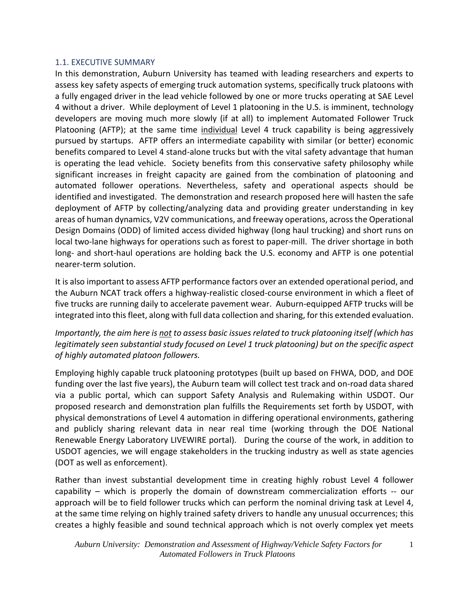#### 1.1. EXECUTIVE SUMMARY

In this demonstration, Auburn University has teamed with leading researchers and experts to assess key safety aspects of emerging truck automation systems, specifically truck platoons with a fully engaged driver in the lead vehicle followed by one or more trucks operating at SAE Level 4 without a driver. While deployment of Level 1 platooning in the U.S. is imminent, technology developers are moving much more slowly (if at all) to implement Automated Follower Truck Platooning (AFTP); at the same time individual Level 4 truck capability is being aggressively pursued by startups. AFTP offers an intermediate capability with similar (or better) economic benefits compared to Level 4 stand-alone trucks but with the vital safety advantage that human is operating the lead vehicle. Society benefits from this conservative safety philosophy while significant increases in freight capacity are gained from the combination of platooning and automated follower operations. Nevertheless, safety and operational aspects should be identified and investigated. The demonstration and research proposed here will hasten the safe deployment of AFTP by collecting/analyzing data and providing greater understanding in key areas of human dynamics, V2V communications, and freeway operations, across the Operational Design Domains (ODD) of limited access divided highway (long haul trucking) and short runs on local two-lane highways for operations such as forest to paper-mill. The driver shortage in both long- and short-haul operations are holding back the U.S. economy and AFTP is one potential nearer-term solution.

It is also important to assess AFTP performance factors over an extended operational period, and the Auburn NCAT track offers a highway-realistic closed-course environment in which a fleet of five trucks are running daily to accelerate pavement wear. Auburn-equipped AFTP trucks will be integrated into this fleet, along with full data collection and sharing, for this extended evaluation.

*Importantly, the aim here is not to assess basic issues related to truck platooning itself (which has legitimately seen substantial study focused on Level 1 truck platooning) but on the specific aspect of highly automated platoon followers.* 

Employing highly capable truck platooning prototypes (built up based on FHWA, DOD, and DOE funding over the last five years), the Auburn team will collect test track and on-road data shared via a public portal, which can support Safety Analysis and Rulemaking within USDOT. Our proposed research and demonstration plan fulfills the Requirements set forth by USDOT, with physical demonstrations of Level 4 automation in differing operational environments, gathering and publicly sharing relevant data in near real time (working through the DOE National Renewable Energy Laboratory LIVEWIRE portal). During the course of the work, in addition to USDOT agencies, we will engage stakeholders in the trucking industry as well as state agencies (DOT as well as enforcement).

Rather than invest substantial development time in creating highly robust Level 4 follower capability – which is properly the domain of downstream commercialization efforts -- our approach will be to field follower trucks which can perform the nominal driving task at Level 4, at the same time relying on highly trained safety drivers to handle any unusual occurrences; this creates a highly feasible and sound technical approach which is not overly complex yet meets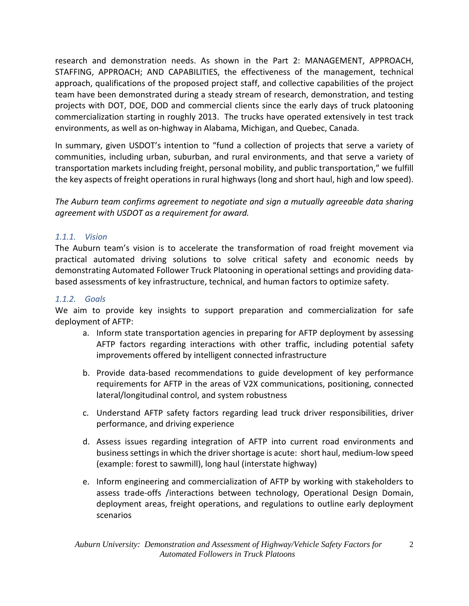research and demonstration needs. As shown in the Part 2: MANAGEMENT, APPROACH, STAFFING, APPROACH; AND CAPABILITIES, the effectiveness of the management, technical approach, qualifications of the proposed project staff, and collective capabilities of the project team have been demonstrated during a steady stream of research, demonstration, and testing projects with DOT, DOE, DOD and commercial clients since the early days of truck platooning commercialization starting in roughly 2013. The trucks have operated extensively in test track environments, as well as on-highway in Alabama, Michigan, and Quebec, Canada.

In summary, given USDOT's intention to "fund a collection of projects that serve a variety of communities, including urban, suburban, and rural environments, and that serve a variety of transportation markets including freight, personal mobility, and public transportation," we fulfill the key aspects of freight operations in rural highways (long and short haul, high and low speed).

*The Auburn team confirms agreement to negotiate and sign a mutually agreeable data sharing agreement with USDOT as a requirement for award.*

#### *1.1.1. Vision*

The Auburn team's vision is to accelerate the transformation of road freight movement via practical automated driving solutions to solve critical safety and economic needs by demonstrating Automated Follower Truck Platooning in operational settings and providing databased assessments of key infrastructure, technical, and human factors to optimize safety.

#### *1.1.2. Goals*

We aim to provide key insights to support preparation and commercialization for safe deployment of AFTP:

- a. Inform state transportation agencies in preparing for AFTP deployment by assessing AFTP factors regarding interactions with other traffic, including potential safety improvements offered by intelligent connected infrastructure
- b. Provide data-based recommendations to guide development of key performance requirements for AFTP in the areas of V2X communications, positioning, connected lateral/longitudinal control, and system robustness
- c. Understand AFTP safety factors regarding lead truck driver responsibilities, driver performance, and driving experience
- d. Assess issues regarding integration of AFTP into current road environments and business settings in which the driver shortage is acute: short haul, medium-low speed (example: forest to sawmill), long haul (interstate highway)
- e. Inform engineering and commercialization of AFTP by working with stakeholders to assess trade-offs /interactions between technology, Operational Design Domain, deployment areas, freight operations, and regulations to outline early deployment scenarios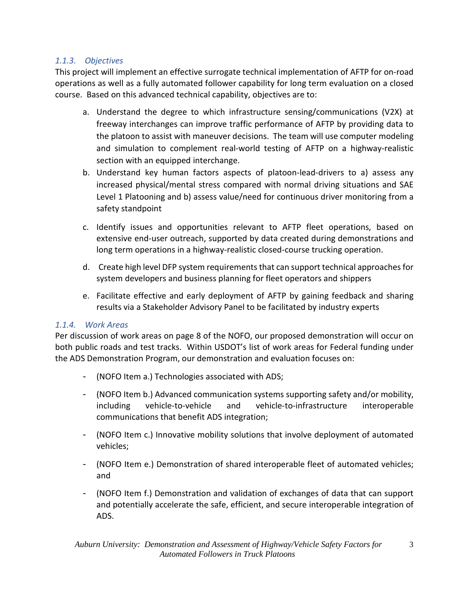## *1.1.3. Objectives*

This project will implement an effective surrogate technical implementation of AFTP for on-road operations as well as a fully automated follower capability for long term evaluation on a closed course. Based on this advanced technical capability, objectives are to:

- a. Understand the degree to which infrastructure sensing/communications (V2X) at freeway interchanges can improve traffic performance of AFTP by providing data to the platoon to assist with maneuver decisions. The team will use computer modeling and simulation to complement real-world testing of AFTP on a highway-realistic section with an equipped interchange.
- b. Understand key human factors aspects of platoon-lead-drivers to a) assess any increased physical/mental stress compared with normal driving situations and SAE Level 1 Platooning and b) assess value/need for continuous driver monitoring from a safety standpoint
- c. Identify issues and opportunities relevant to AFTP fleet operations, based on extensive end-user outreach, supported by data created during demonstrations and long term operations in a highway-realistic closed-course trucking operation.
- d. Create high level DFP system requirements that can support technical approaches for system developers and business planning for fleet operators and shippers
- e. Facilitate effective and early deployment of AFTP by gaining feedback and sharing results via a Stakeholder Advisory Panel to be facilitated by industry experts

#### *1.1.4. Work Areas*

Per discussion of work areas on page 8 of the NOFO, our proposed demonstration will occur on both public roads and test tracks. Within USDOT's list of work areas for Federal funding under the ADS Demonstration Program, our demonstration and evaluation focuses on:

- (NOFO Item a.) Technologies associated with ADS;
- (NOFO Item b.) Advanced communication systems supporting safety and/or mobility, including vehicle-to-vehicle and vehicle-to-infrastructure interoperable communications that benefit ADS integration;
- (NOFO Item c.) Innovative mobility solutions that involve deployment of automated vehicles;
- (NOFO Item e.) Demonstration of shared interoperable fleet of automated vehicles; and
- (NOFO Item f.) Demonstration and validation of exchanges of data that can support and potentially accelerate the safe, efficient, and secure interoperable integration of ADS.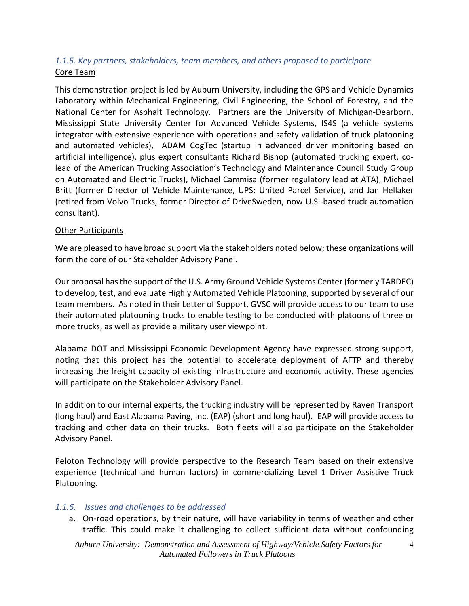# *1.1.5. Key partners, stakeholders, team members, and others proposed to participate*  Core Team

This demonstration project is led by Auburn University, including the GPS and Vehicle Dynamics Laboratory within Mechanical Engineering, Civil Engineering, the School of Forestry, and the National Center for Asphalt Technology. Partners are the University of Michigan-Dearborn, Mississippi State University Center for Advanced Vehicle Systems, IS4S (a vehicle systems integrator with extensive experience with operations and safety validation of truck platooning and automated vehicles), ADAM CogTec (startup in advanced driver monitoring based on artificial intelligence), plus expert consultants Richard Bishop (automated trucking expert, colead of the American Trucking Association's Technology and Maintenance Council Study Group on Automated and Electric Trucks), Michael Cammisa (former regulatory lead at ATA), Michael Britt (former Director of Vehicle Maintenance, UPS: United Parcel Service), and Jan Hellaker (retired from Volvo Trucks, former Director of DriveSweden, now U.S.-based truck automation consultant).

#### Other Participants

We are pleased to have broad support via the stakeholders noted below; these organizations will form the core of our Stakeholder Advisory Panel.

Our proposal has the support of the U.S. Army Ground Vehicle Systems Center (formerly TARDEC) to develop, test, and evaluate Highly Automated Vehicle Platooning, supported by several of our team members. As noted in their Letter of Support, GVSC will provide access to our team to use their automated platooning trucks to enable testing to be conducted with platoons of three or more trucks, as well as provide a military user viewpoint.

Alabama DOT and Mississippi Economic Development Agency have expressed strong support, noting that this project has the potential to accelerate deployment of AFTP and thereby increasing the freight capacity of existing infrastructure and economic activity. These agencies will participate on the Stakeholder Advisory Panel.

In addition to our internal experts, the trucking industry will be represented by Raven Transport (long haul) and East Alabama Paving, Inc. (EAP) (short and long haul). EAP will provide access to tracking and other data on their trucks. Both fleets will also participate on the Stakeholder Advisory Panel.

Peloton Technology will provide perspective to the Research Team based on their extensive experience (technical and human factors) in commercializing Level 1 Driver Assistive Truck Platooning.

#### *1.1.6. Issues and challenges to be addressed*

a. On-road operations, by their nature, will have variability in terms of weather and other traffic. This could make it challenging to collect sufficient data without confounding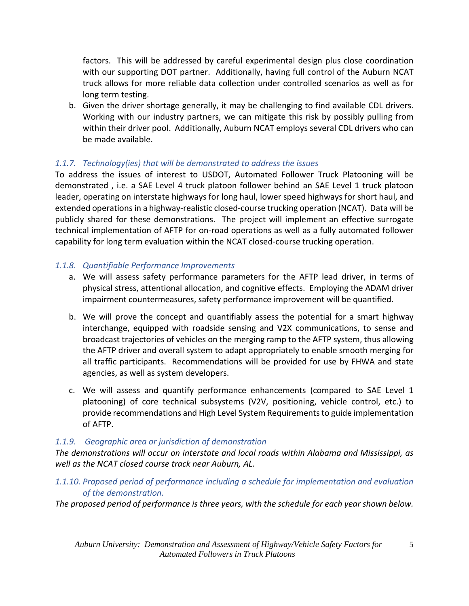factors. This will be addressed by careful experimental design plus close coordination with our supporting DOT partner. Additionally, having full control of the Auburn NCAT truck allows for more reliable data collection under controlled scenarios as well as for long term testing.

b. Given the driver shortage generally, it may be challenging to find available CDL drivers. Working with our industry partners, we can mitigate this risk by possibly pulling from within their driver pool. Additionally, Auburn NCAT employs several CDL drivers who can be made available.

## *1.1.7. Technology(ies) that will be demonstrated to address the issues*

To address the issues of interest to USDOT, Automated Follower Truck Platooning will be demonstrated , i.e. a SAE Level 4 truck platoon follower behind an SAE Level 1 truck platoon leader, operating on interstate highways for long haul, lower speed highways for short haul, and extended operations in a highway-realistic closed-course trucking operation (NCAT). Data will be publicly shared for these demonstrations. The project will implement an effective surrogate technical implementation of AFTP for on-road operations as well as a fully automated follower capability for long term evaluation within the NCAT closed-course trucking operation.

## *1.1.8. Quantifiable Performance Improvements*

- a. We will assess safety performance parameters for the AFTP lead driver, in terms of physical stress, attentional allocation, and cognitive effects. Employing the ADAM driver impairment countermeasures, safety performance improvement will be quantified.
- b. We will prove the concept and quantifiably assess the potential for a smart highway interchange, equipped with roadside sensing and V2X communications, to sense and broadcast trajectories of vehicles on the merging ramp to the AFTP system, thus allowing the AFTP driver and overall system to adapt appropriately to enable smooth merging for all traffic participants. Recommendations will be provided for use by FHWA and state agencies, as well as system developers.
- c. We will assess and quantify performance enhancements (compared to SAE Level 1 platooning) of core technical subsystems (V2V, positioning, vehicle control, etc.) to provide recommendations and High Level System Requirements to guide implementation of AFTP.

## *1.1.9. Geographic area or jurisdiction of demonstration*

*The demonstrations will occur on interstate and local roads within Alabama and Mississippi, as well as the NCAT closed course track near Auburn, AL.* 

# *1.1.10. Proposed period of performance including a schedule for implementation and evaluation of the demonstration.*

*The proposed period of performance is three years, with the schedule for each year shown below.*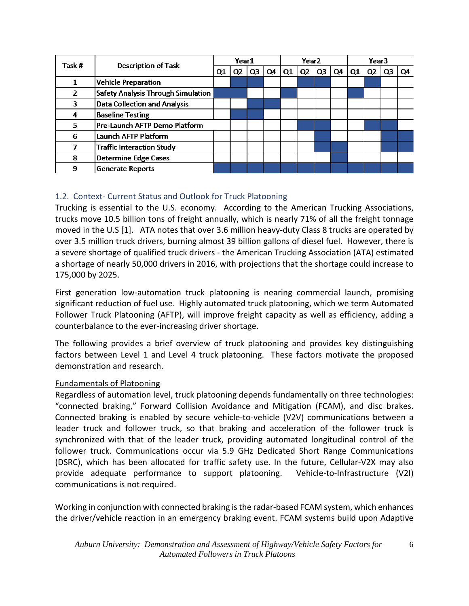| Task #         | <b>Description of Task</b>                | Year1 |                |                |    | Year <sub>2</sub> |    |    |    | Year <sub>3</sub> |          |    |    |
|----------------|-------------------------------------------|-------|----------------|----------------|----|-------------------|----|----|----|-------------------|----------|----|----|
|                |                                           |       | Q <sub>2</sub> | Q <sub>3</sub> | Q4 | Q1                | Q2 | Q3 | Q4 | Q1                | $\Omega$ | Q3 | Q4 |
|                | <b>Vehicle Preparation</b>                |       |                |                |    |                   |    |    |    |                   |          |    |    |
| $\overline{2}$ | <b>Safety Analysis Through Simulation</b> |       |                |                |    |                   |    |    |    |                   |          |    |    |
| 3              | <b>Data Collection and Analysis</b>       |       |                |                |    |                   |    |    |    |                   |          |    |    |
| 4              | <b>Baseline Testing</b>                   |       |                |                |    |                   |    |    |    |                   |          |    |    |
| 5              | Pre-Launch AFTP Demo Platform             |       |                |                |    |                   |    |    |    |                   |          |    |    |
| 6              | Launch AFTP Platform                      |       |                |                |    |                   |    |    |    |                   |          |    |    |
|                | <b>Traffic Interaction Study</b>          |       |                |                |    |                   |    |    |    |                   |          |    |    |
| 8              | <b>Determine Edge Cases</b>               |       |                |                |    |                   |    |    |    |                   |          |    |    |
| 9              | <b>Generate Reports</b>                   |       |                |                |    |                   |    |    |    |                   |          |    |    |

# 1.2. Context- Current Status and Outlook for Truck Platooning

Trucking is essential to the U.S. economy. According to the American Trucking Associations, trucks move 10.5 billion tons of freight annually, which is nearly 71% of all the freight tonnage moved in the U.S [1]. ATA notes that over 3.6 million heavy-duty Class 8 trucks are operated by over 3.5 million truck drivers, burning almost 39 billion gallons of diesel fuel. However, there is a severe shortage of qualified truck drivers - the American Trucking Association (ATA) estimated a shortage of nearly 50,000 drivers in 2016, with projections that the shortage could increase to 175,000 by 2025.

First generation low-automation truck platooning is nearing commercial launch, promising significant reduction of fuel use. Highly automated truck platooning, which we term Automated Follower Truck Platooning (AFTP), will improve freight capacity as well as efficiency, adding a counterbalance to the ever-increasing driver shortage.

The following provides a brief overview of truck platooning and provides key distinguishing factors between Level 1 and Level 4 truck platooning. These factors motivate the proposed demonstration and research.

#### Fundamentals of Platooning

Regardless of automation level, truck platooning depends fundamentally on three technologies: "connected braking," Forward Collision Avoidance and Mitigation (FCAM), and disc brakes. Connected braking is enabled by secure vehicle-to-vehicle (V2V) communications between a leader truck and follower truck, so that braking and acceleration of the follower truck is synchronized with that of the leader truck, providing automated longitudinal control of the follower truck. Communications occur via 5.9 GHz Dedicated Short Range Communications (DSRC), which has been allocated for traffic safety use. In the future, Cellular-V2X may also provide adequate performance to support platooning. Vehicle-to-Infrastructure (V2I) communications is not required.

Working in conjunction with connected braking is the radar-based FCAM system, which enhances the driver/vehicle reaction in an emergency braking event. FCAM systems build upon Adaptive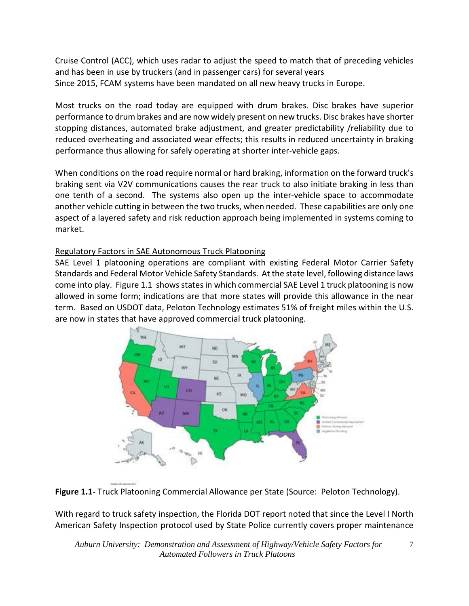Cruise Control (ACC), which uses radar to adjust the speed to match that of preceding vehicles and has been in use by truckers (and in passenger cars) for several years Since 2015, FCAM systems have been mandated on all new heavy trucks in Europe.

Most trucks on the road today are equipped with drum brakes. Disc brakes have superior performance to drum brakes and are now widely present on new trucks. Disc brakes have shorter stopping distances, automated brake adjustment, and greater predictability /reliability due to reduced overheating and associated wear effects; this results in reduced uncertainty in braking performance thus allowing for safely operating at shorter inter-vehicle gaps.

When conditions on the road require normal or hard braking, information on the forward truck's braking sent via V2V communications causes the rear truck to also initiate braking in less than one tenth of a second. The systems also open up the inter-vehicle space to accommodate another vehicle cutting in between the two trucks, when needed. These capabilities are only one aspect of a layered safety and risk reduction approach being implemented in systems coming to market.

## Regulatory Factors in SAE Autonomous Truck Platooning

SAE Level 1 platooning operations are compliant with existing Federal Motor Carrier Safety Standards and Federal Motor Vehicle Safety Standards. At the state level, following distance laws come into play. Figure 1.1 shows states in which commercial SAE Level 1 truck platooning is now allowed in some form; indications are that more states will provide this allowance in the near term. Based on USDOT data, Peloton Technology estimates 51% of freight miles within the U.S. are now in states that have approved commercial truck platooning.



**Figure 1.1-** Truck Platooning Commercial Allowance per State (Source: Peloton Technology).

With regard to truck safety inspection, the Florida DOT report noted that since the Level I North American Safety Inspection protocol used by State Police currently covers proper maintenance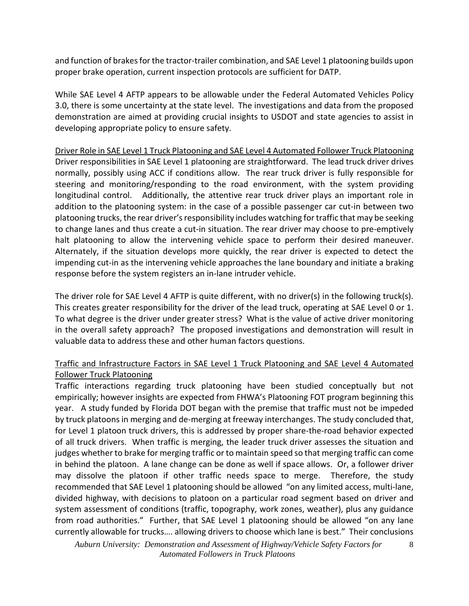and function of brakes for the tractor-trailer combination, and SAE Level 1 platooning builds upon proper brake operation, current inspection protocols are sufficient for DATP.

While SAE Level 4 AFTP appears to be allowable under the Federal Automated Vehicles Policy 3.0, there is some uncertainty at the state level. The investigations and data from the proposed demonstration are aimed at providing crucial insights to USDOT and state agencies to assist in developing appropriate policy to ensure safety.

Driver Role in SAE Level 1 Truck Platooning and SAE Level 4 Automated Follower Truck Platooning Driver responsibilities in SAE Level 1 platooning are straightforward. The lead truck driver drives normally, possibly using ACC if conditions allow. The rear truck driver is fully responsible for steering and monitoring/responding to the road environment, with the system providing longitudinal control. Additionally, the attentive rear truck driver plays an important role in addition to the platooning system: in the case of a possible passenger car cut-in between two platooning trucks, the rear driver's responsibility includes watching for traffic that may be seeking to change lanes and thus create a cut-in situation. The rear driver may choose to pre-emptively halt platooning to allow the intervening vehicle space to perform their desired maneuver. Alternately, if the situation develops more quickly, the rear driver is expected to detect the impending cut-in as the intervening vehicle approaches the lane boundary and initiate a braking response before the system registers an in-lane intruder vehicle.

The driver role for SAE Level 4 AFTP is quite different, with no driver(s) in the following truck(s). This creates greater responsibility for the driver of the lead truck, operating at SAE Level 0 or 1. To what degree is the driver under greater stress? What is the value of active driver monitoring in the overall safety approach? The proposed investigations and demonstration will result in valuable data to address these and other human factors questions.

## Traffic and Infrastructure Factors in SAE Level 1 Truck Platooning and SAE Level 4 Automated Follower Truck Platooning

Traffic interactions regarding truck platooning have been studied conceptually but not empirically; however insights are expected from FHWA's Platooning FOT program beginning this year. A study funded by Florida DOT began with the premise that traffic must not be impeded by truck platoons in merging and de-merging at freeway interchanges. The study concluded that, for Level 1 platoon truck drivers, this is addressed by proper share-the-road behavior expected of all truck drivers. When traffic is merging, the leader truck driver assesses the situation and judges whether to brake for merging traffic or to maintain speed so that merging traffic can come in behind the platoon. A lane change can be done as well if space allows. Or, a follower driver may dissolve the platoon if other traffic needs space to merge. Therefore, the study recommended that SAE Level 1 platooning should be allowed "on any limited access, multi-lane, divided highway, with decisions to platoon on a particular road segment based on driver and system assessment of conditions (traffic, topography, work zones, weather), plus any guidance from road authorities." Further, that SAE Level 1 platooning should be allowed "on any lane currently allowable for trucks…. allowing drivers to choose which lane is best." Their conclusions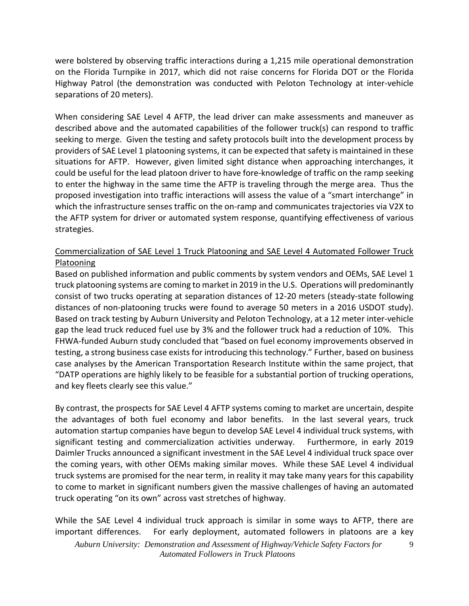were bolstered by observing traffic interactions during a 1,215 mile operational demonstration on the Florida Turnpike in 2017, which did not raise concerns for Florida DOT or the Florida Highway Patrol (the demonstration was conducted with Peloton Technology at inter-vehicle separations of 20 meters).

When considering SAE Level 4 AFTP, the lead driver can make assessments and maneuver as described above and the automated capabilities of the follower truck(s) can respond to traffic seeking to merge. Given the testing and safety protocols built into the development process by providers of SAE Level 1 platooning systems, it can be expected that safety is maintained in these situations for AFTP. However, given limited sight distance when approaching interchanges, it could be useful for the lead platoon driver to have fore-knowledge of traffic on the ramp seeking to enter the highway in the same time the AFTP is traveling through the merge area. Thus the proposed investigation into traffic interactions will assess the value of a "smart interchange" in which the infrastructure senses traffic on the on-ramp and communicates trajectories via V2X to the AFTP system for driver or automated system response, quantifying effectiveness of various strategies.

## Commercialization of SAE Level 1 Truck Platooning and SAE Level 4 Automated Follower Truck Platooning

Based on published information and public comments by system vendors and OEMs, SAE Level 1 truck platooning systems are coming to market in 2019 in the U.S. Operations will predominantly consist of two trucks operating at separation distances of 12-20 meters (steady-state following distances of non-platooning trucks were found to average 50 meters in a 2016 USDOT study). Based on track testing by Auburn University and Peloton Technology, at a 12 meter inter-vehicle gap the lead truck reduced fuel use by 3% and the follower truck had a reduction of 10%. This FHWA-funded Auburn study concluded that "based on fuel economy improvements observed in testing, a strong business case exists for introducing this technology." Further, based on business case analyses by the American Transportation Research Institute within the same project, that "DATP operations are highly likely to be feasible for a substantial portion of trucking operations, and key fleets clearly see this value."

By contrast, the prospects for SAE Level 4 AFTP systems coming to market are uncertain, despite the advantages of both fuel economy and labor benefits. In the last several years, truck automation startup companies have begun to develop SAE Level 4 individual truck systems, with significant testing and commercialization activities underway. Furthermore, in early 2019 Daimler Trucks announced a significant investment in the SAE Level 4 individual truck space over the coming years, with other OEMs making similar moves. While these SAE Level 4 individual truck systems are promised for the near term, in reality it may take many years for this capability to come to market in significant numbers given the massive challenges of having an automated truck operating "on its own" across vast stretches of highway.

While the SAE Level 4 individual truck approach is similar in some ways to AFTP, there are important differences. For early deployment, automated followers in platoons are a key  *Auburn University: Demonstration and Assessment of Highway/Vehicle Safety Factors for Automated Followers in Truck Platoons*  9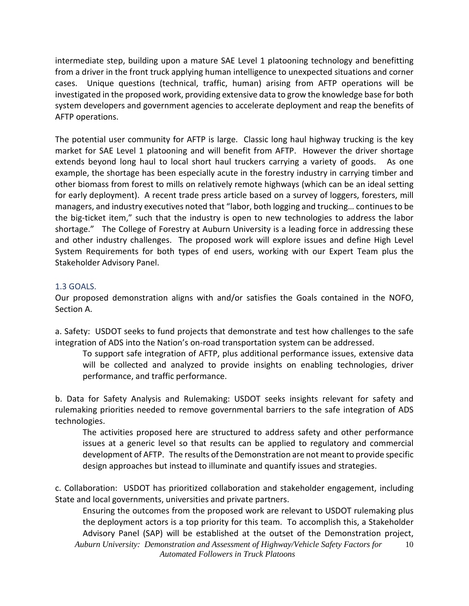intermediate step, building upon a mature SAE Level 1 platooning technology and benefitting from a driver in the front truck applying human intelligence to unexpected situations and corner cases. Unique questions (technical, traffic, human) arising from AFTP operations will be investigated in the proposed work, providing extensive data to grow the knowledge base for both system developers and government agencies to accelerate deployment and reap the benefits of AFTP operations.

The potential user community for AFTP is large. Classic long haul highway trucking is the key market for SAE Level 1 platooning and will benefit from AFTP. However the driver shortage extends beyond long haul to local short haul truckers carrying a variety of goods. As one example, the shortage has been especially acute in the forestry industry in carrying timber and other biomass from forest to mills on relatively remote highways (which can be an ideal setting for early deployment). A recent trade press article based on a survey of loggers, foresters, mill managers, and industry executives noted that "labor, both logging and trucking… continues to be the big-ticket item," such that the industry is open to new technologies to address the labor shortage." The College of Forestry at Auburn University is a leading force in addressing these and other industry challenges. The proposed work will explore issues and define High Level System Requirements for both types of end users, working with our Expert Team plus the Stakeholder Advisory Panel.

## 1.3 GOALS.

Our proposed demonstration aligns with and/or satisfies the Goals contained in the NOFO, Section A.

a. Safety: USDOT seeks to fund projects that demonstrate and test how challenges to the safe integration of ADS into the Nation's on-road transportation system can be addressed.

To support safe integration of AFTP, plus additional performance issues, extensive data will be collected and analyzed to provide insights on enabling technologies, driver performance, and traffic performance.

b. Data for Safety Analysis and Rulemaking: USDOT seeks insights relevant for safety and rulemaking priorities needed to remove governmental barriers to the safe integration of ADS technologies.

The activities proposed here are structured to address safety and other performance issues at a generic level so that results can be applied to regulatory and commercial development of AFTP. The results of the Demonstration are not meant to provide specific design approaches but instead to illuminate and quantify issues and strategies.

c. Collaboration: USDOT has prioritized collaboration and stakeholder engagement, including State and local governments, universities and private partners.

Ensuring the outcomes from the proposed work are relevant to USDOT rulemaking plus the deployment actors is a top priority for this team. To accomplish this, a Stakeholder Advisory Panel (SAP) will be established at the outset of the Demonstration project,  *Auburn University: Demonstration and Assessment of Highway/Vehicle Safety Factors for Automated Followers in Truck Platoons*  10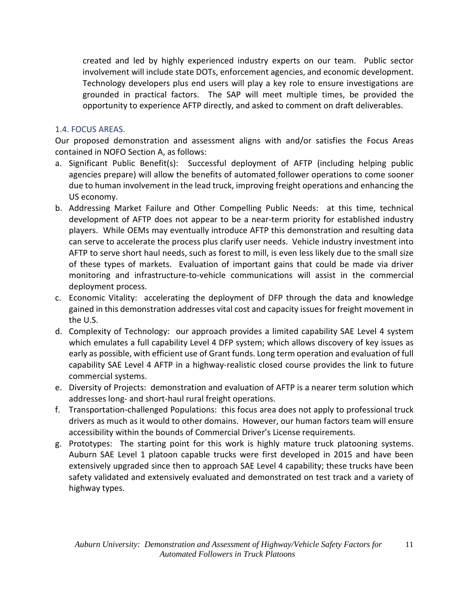created and led by highly experienced industry experts on our team. Public sector involvement will include state DOTs, enforcement agencies, and economic development. Technology developers plus end users will play a key role to ensure investigations are grounded in practical factors. The SAP will meet multiple times, be provided the opportunity to experience AFTP directly, and asked to comment on draft deliverables.

#### 1.4. FOCUS AREAS.

Our proposed demonstration and assessment aligns with and/or satisfies the Focus Areas contained in NOFO Section A, as follows:

- a. Significant Public Benefit(s): Successful deployment of AFTP (including helping public agencies prepare) will allow the benefits of automated follower operations to come sooner due to human involvement in the lead truck, improving freight operations and enhancing the US economy.
- b. Addressing Market Failure and Other Compelling Public Needs: at this time, technical development of AFTP does not appear to be a near-term priority for established industry players. While OEMs may eventually introduce AFTP this demonstration and resulting data can serve to accelerate the process plus clarify user needs. Vehicle industry investment into AFTP to serve short haul needs, such as forest to mill, is even less likely due to the small size of these types of markets. Evaluation of important gains that could be made via driver monitoring and infrastructure-to-vehicle communications will assist in the commercial deployment process.
- c. Economic Vitality: accelerating the deployment of DFP through the data and knowledge gained in this demonstration addresses vital cost and capacity issues for freight movement in the U.S.
- d. Complexity of Technology: our approach provides a limited capability SAE Level 4 system which emulates a full capability Level 4 DFP system; which allows discovery of key issues as early as possible, with efficient use of Grant funds. Long term operation and evaluation of full capability SAE Level 4 AFTP in a highway-realistic closed course provides the link to future commercial systems.
- e. Diversity of Projects: demonstration and evaluation of AFTP is a nearer term solution which addresses long- and short-haul rural freight operations.
- f. Transportation-challenged Populations: this focus area does not apply to professional truck drivers as much as it would to other domains. However, our human factors team will ensure accessibility within the bounds of Commercial Driver's License requirements.
- g. Prototypes: The starting point for this work is highly mature truck platooning systems. Auburn SAE Level 1 platoon capable trucks were first developed in 2015 and have been extensively upgraded since then to approach SAE Level 4 capability; these trucks have been safety validated and extensively evaluated and demonstrated on test track and a variety of highway types.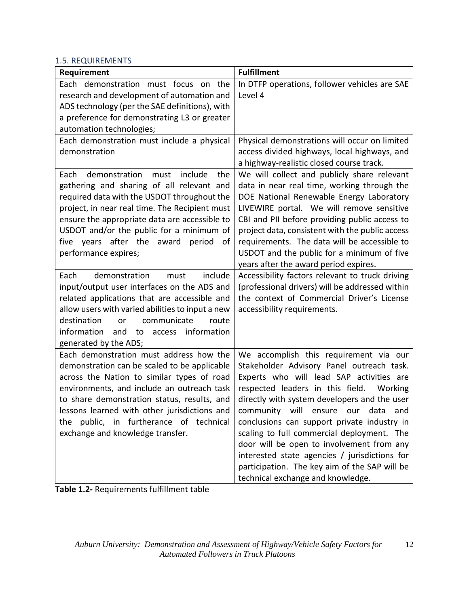#### 1.5. REQUIREMENTS

| Requirement                                                                                                                                                                                                                                                                                                                                                                                                                                                                                                                                                                                                                                                                                                                                                                                                                                         | <b>Fulfillment</b>                                                                                                                                                                                                                                                                                                                                                                                                                                                                                                                                                                                                                                                                                                                                                                                                                                                                                                        |
|-----------------------------------------------------------------------------------------------------------------------------------------------------------------------------------------------------------------------------------------------------------------------------------------------------------------------------------------------------------------------------------------------------------------------------------------------------------------------------------------------------------------------------------------------------------------------------------------------------------------------------------------------------------------------------------------------------------------------------------------------------------------------------------------------------------------------------------------------------|---------------------------------------------------------------------------------------------------------------------------------------------------------------------------------------------------------------------------------------------------------------------------------------------------------------------------------------------------------------------------------------------------------------------------------------------------------------------------------------------------------------------------------------------------------------------------------------------------------------------------------------------------------------------------------------------------------------------------------------------------------------------------------------------------------------------------------------------------------------------------------------------------------------------------|
| Each demonstration must focus on the                                                                                                                                                                                                                                                                                                                                                                                                                                                                                                                                                                                                                                                                                                                                                                                                                | In DTFP operations, follower vehicles are SAE                                                                                                                                                                                                                                                                                                                                                                                                                                                                                                                                                                                                                                                                                                                                                                                                                                                                             |
| research and development of automation and                                                                                                                                                                                                                                                                                                                                                                                                                                                                                                                                                                                                                                                                                                                                                                                                          | Level 4                                                                                                                                                                                                                                                                                                                                                                                                                                                                                                                                                                                                                                                                                                                                                                                                                                                                                                                   |
|                                                                                                                                                                                                                                                                                                                                                                                                                                                                                                                                                                                                                                                                                                                                                                                                                                                     |                                                                                                                                                                                                                                                                                                                                                                                                                                                                                                                                                                                                                                                                                                                                                                                                                                                                                                                           |
|                                                                                                                                                                                                                                                                                                                                                                                                                                                                                                                                                                                                                                                                                                                                                                                                                                                     |                                                                                                                                                                                                                                                                                                                                                                                                                                                                                                                                                                                                                                                                                                                                                                                                                                                                                                                           |
|                                                                                                                                                                                                                                                                                                                                                                                                                                                                                                                                                                                                                                                                                                                                                                                                                                                     |                                                                                                                                                                                                                                                                                                                                                                                                                                                                                                                                                                                                                                                                                                                                                                                                                                                                                                                           |
|                                                                                                                                                                                                                                                                                                                                                                                                                                                                                                                                                                                                                                                                                                                                                                                                                                                     |                                                                                                                                                                                                                                                                                                                                                                                                                                                                                                                                                                                                                                                                                                                                                                                                                                                                                                                           |
|                                                                                                                                                                                                                                                                                                                                                                                                                                                                                                                                                                                                                                                                                                                                                                                                                                                     |                                                                                                                                                                                                                                                                                                                                                                                                                                                                                                                                                                                                                                                                                                                                                                                                                                                                                                                           |
|                                                                                                                                                                                                                                                                                                                                                                                                                                                                                                                                                                                                                                                                                                                                                                                                                                                     |                                                                                                                                                                                                                                                                                                                                                                                                                                                                                                                                                                                                                                                                                                                                                                                                                                                                                                                           |
|                                                                                                                                                                                                                                                                                                                                                                                                                                                                                                                                                                                                                                                                                                                                                                                                                                                     |                                                                                                                                                                                                                                                                                                                                                                                                                                                                                                                                                                                                                                                                                                                                                                                                                                                                                                                           |
|                                                                                                                                                                                                                                                                                                                                                                                                                                                                                                                                                                                                                                                                                                                                                                                                                                                     |                                                                                                                                                                                                                                                                                                                                                                                                                                                                                                                                                                                                                                                                                                                                                                                                                                                                                                                           |
|                                                                                                                                                                                                                                                                                                                                                                                                                                                                                                                                                                                                                                                                                                                                                                                                                                                     |                                                                                                                                                                                                                                                                                                                                                                                                                                                                                                                                                                                                                                                                                                                                                                                                                                                                                                                           |
| ensure the appropriate data are accessible to                                                                                                                                                                                                                                                                                                                                                                                                                                                                                                                                                                                                                                                                                                                                                                                                       | CBI and PII before providing public access to                                                                                                                                                                                                                                                                                                                                                                                                                                                                                                                                                                                                                                                                                                                                                                                                                                                                             |
| USDOT and/or the public for a minimum of                                                                                                                                                                                                                                                                                                                                                                                                                                                                                                                                                                                                                                                                                                                                                                                                            | project data, consistent with the public access                                                                                                                                                                                                                                                                                                                                                                                                                                                                                                                                                                                                                                                                                                                                                                                                                                                                           |
| five years after the award<br>period<br>οf                                                                                                                                                                                                                                                                                                                                                                                                                                                                                                                                                                                                                                                                                                                                                                                                          | requirements. The data will be accessible to                                                                                                                                                                                                                                                                                                                                                                                                                                                                                                                                                                                                                                                                                                                                                                                                                                                                              |
| performance expires;                                                                                                                                                                                                                                                                                                                                                                                                                                                                                                                                                                                                                                                                                                                                                                                                                                | USDOT and the public for a minimum of five                                                                                                                                                                                                                                                                                                                                                                                                                                                                                                                                                                                                                                                                                                                                                                                                                                                                                |
|                                                                                                                                                                                                                                                                                                                                                                                                                                                                                                                                                                                                                                                                                                                                                                                                                                                     |                                                                                                                                                                                                                                                                                                                                                                                                                                                                                                                                                                                                                                                                                                                                                                                                                                                                                                                           |
|                                                                                                                                                                                                                                                                                                                                                                                                                                                                                                                                                                                                                                                                                                                                                                                                                                                     |                                                                                                                                                                                                                                                                                                                                                                                                                                                                                                                                                                                                                                                                                                                                                                                                                                                                                                                           |
|                                                                                                                                                                                                                                                                                                                                                                                                                                                                                                                                                                                                                                                                                                                                                                                                                                                     |                                                                                                                                                                                                                                                                                                                                                                                                                                                                                                                                                                                                                                                                                                                                                                                                                                                                                                                           |
|                                                                                                                                                                                                                                                                                                                                                                                                                                                                                                                                                                                                                                                                                                                                                                                                                                                     |                                                                                                                                                                                                                                                                                                                                                                                                                                                                                                                                                                                                                                                                                                                                                                                                                                                                                                                           |
|                                                                                                                                                                                                                                                                                                                                                                                                                                                                                                                                                                                                                                                                                                                                                                                                                                                     |                                                                                                                                                                                                                                                                                                                                                                                                                                                                                                                                                                                                                                                                                                                                                                                                                                                                                                                           |
|                                                                                                                                                                                                                                                                                                                                                                                                                                                                                                                                                                                                                                                                                                                                                                                                                                                     |                                                                                                                                                                                                                                                                                                                                                                                                                                                                                                                                                                                                                                                                                                                                                                                                                                                                                                                           |
|                                                                                                                                                                                                                                                                                                                                                                                                                                                                                                                                                                                                                                                                                                                                                                                                                                                     |                                                                                                                                                                                                                                                                                                                                                                                                                                                                                                                                                                                                                                                                                                                                                                                                                                                                                                                           |
| Each demonstration must address how the                                                                                                                                                                                                                                                                                                                                                                                                                                                                                                                                                                                                                                                                                                                                                                                                             |                                                                                                                                                                                                                                                                                                                                                                                                                                                                                                                                                                                                                                                                                                                                                                                                                                                                                                                           |
| demonstration can be scaled to be applicable                                                                                                                                                                                                                                                                                                                                                                                                                                                                                                                                                                                                                                                                                                                                                                                                        | Stakeholder Advisory Panel outreach task.                                                                                                                                                                                                                                                                                                                                                                                                                                                                                                                                                                                                                                                                                                                                                                                                                                                                                 |
| across the Nation to similar types of road                                                                                                                                                                                                                                                                                                                                                                                                                                                                                                                                                                                                                                                                                                                                                                                                          | Experts who will lead SAP activities are                                                                                                                                                                                                                                                                                                                                                                                                                                                                                                                                                                                                                                                                                                                                                                                                                                                                                  |
| environments, and include an outreach task                                                                                                                                                                                                                                                                                                                                                                                                                                                                                                                                                                                                                                                                                                                                                                                                          | respected leaders in this field.<br>Working                                                                                                                                                                                                                                                                                                                                                                                                                                                                                                                                                                                                                                                                                                                                                                                                                                                                               |
| to share demonstration status, results, and                                                                                                                                                                                                                                                                                                                                                                                                                                                                                                                                                                                                                                                                                                                                                                                                         | directly with system developers and the user                                                                                                                                                                                                                                                                                                                                                                                                                                                                                                                                                                                                                                                                                                                                                                                                                                                                              |
|                                                                                                                                                                                                                                                                                                                                                                                                                                                                                                                                                                                                                                                                                                                                                                                                                                                     | and                                                                                                                                                                                                                                                                                                                                                                                                                                                                                                                                                                                                                                                                                                                                                                                                                                                                                                                       |
|                                                                                                                                                                                                                                                                                                                                                                                                                                                                                                                                                                                                                                                                                                                                                                                                                                                     |                                                                                                                                                                                                                                                                                                                                                                                                                                                                                                                                                                                                                                                                                                                                                                                                                                                                                                                           |
|                                                                                                                                                                                                                                                                                                                                                                                                                                                                                                                                                                                                                                                                                                                                                                                                                                                     |                                                                                                                                                                                                                                                                                                                                                                                                                                                                                                                                                                                                                                                                                                                                                                                                                                                                                                                           |
|                                                                                                                                                                                                                                                                                                                                                                                                                                                                                                                                                                                                                                                                                                                                                                                                                                                     |                                                                                                                                                                                                                                                                                                                                                                                                                                                                                                                                                                                                                                                                                                                                                                                                                                                                                                                           |
|                                                                                                                                                                                                                                                                                                                                                                                                                                                                                                                                                                                                                                                                                                                                                                                                                                                     |                                                                                                                                                                                                                                                                                                                                                                                                                                                                                                                                                                                                                                                                                                                                                                                                                                                                                                                           |
|                                                                                                                                                                                                                                                                                                                                                                                                                                                                                                                                                                                                                                                                                                                                                                                                                                                     |                                                                                                                                                                                                                                                                                                                                                                                                                                                                                                                                                                                                                                                                                                                                                                                                                                                                                                                           |
| ADS technology (per the SAE definitions), with<br>a preference for demonstrating L3 or greater<br>automation technologies;<br>Each demonstration must include a physical<br>demonstration<br>demonstration<br>include<br>Each<br>must<br>the<br>gathering and sharing of all relevant and<br>required data with the USDOT throughout the<br>project, in near real time. The Recipient must<br>demonstration<br>include<br>Each<br>must<br>input/output user interfaces on the ADS and<br>related applications that are accessible and<br>allow users with varied abilities to input a new<br>destination<br>communicate<br>route<br>or<br>information<br>and<br>access information<br>to<br>generated by the ADS;<br>lessons learned with other jurisdictions and<br>public, in furtherance of technical<br>the<br>exchange and knowledge transfer. | Physical demonstrations will occur on limited<br>access divided highways, local highways, and<br>a highway-realistic closed course track.<br>We will collect and publicly share relevant<br>data in near real time, working through the<br>DOE National Renewable Energy Laboratory<br>LIVEWIRE portal. We will remove sensitive<br>years after the award period expires.<br>Accessibility factors relevant to truck driving<br>(professional drivers) will be addressed within<br>the context of Commercial Driver's License<br>accessibility requirements.<br>We accomplish this requirement via our<br>community will ensure our data<br>conclusions can support private industry in<br>scaling to full commercial deployment. The<br>door will be open to involvement from any<br>interested state agencies / jurisdictions for<br>participation. The key aim of the SAP will be<br>technical exchange and knowledge. |

**Table 1.2-** Requirements fulfillment table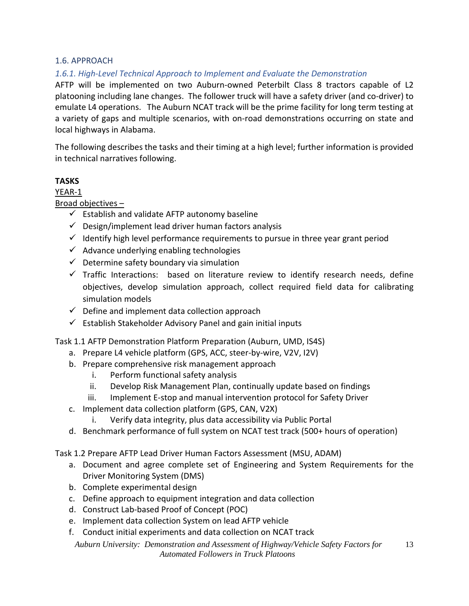#### 1.6. APPROACH

## *1.6.1. High-Level Technical Approach to Implement and Evaluate the Demonstration*

AFTP will be implemented on two Auburn-owned Peterbilt Class 8 tractors capable of L2 platooning including lane changes. The follower truck will have a safety driver (and co-driver) to emulate L4 operations. The Auburn NCAT track will be the prime facility for long term testing at a variety of gaps and multiple scenarios, with on-road demonstrations occurring on state and local highways in Alabama.

The following describes the tasks and their timing at a high level; further information is provided in technical narratives following.

## **TASKS**

YEAR-1

Broad objectives –

- $\checkmark$  Establish and validate AFTP autonomy baseline
- $\checkmark$  Design/implement lead driver human factors analysis
- $\checkmark$  Identify high level performance requirements to pursue in three year grant period
- $\checkmark$  Advance underlying enabling technologies
- $\checkmark$  Determine safety boundary via simulation
- $\checkmark$  Traffic Interactions: based on literature review to identify research needs, define objectives, develop simulation approach, collect required field data for calibrating simulation models
- $\checkmark$  Define and implement data collection approach
- $\checkmark$  Establish Stakeholder Advisory Panel and gain initial inputs

Task 1.1 AFTP Demonstration Platform Preparation (Auburn, UMD, IS4S)

- a. Prepare L4 vehicle platform (GPS, ACC, steer-by-wire, V2V, I2V)
- b. Prepare comprehensive risk management approach
	- i. Perform functional safety analysis
	- ii. Develop Risk Management Plan, continually update based on findings
	- iii. Implement E-stop and manual intervention protocol for Safety Driver
- c. Implement data collection platform (GPS, CAN, V2X)
	- i. Verify data integrity, plus data accessibility via Public Portal
- d. Benchmark performance of full system on NCAT test track (500+ hours of operation)

Task 1.2 Prepare AFTP Lead Driver Human Factors Assessment (MSU, ADAM)

- a. Document and agree complete set of Engineering and System Requirements for the Driver Monitoring System (DMS)
- b. Complete experimental design
- c. Define approach to equipment integration and data collection
- d. Construct Lab-based Proof of Concept (POC)
- e. Implement data collection System on lead AFTP vehicle
- f. Conduct initial experiments and data collection on NCAT track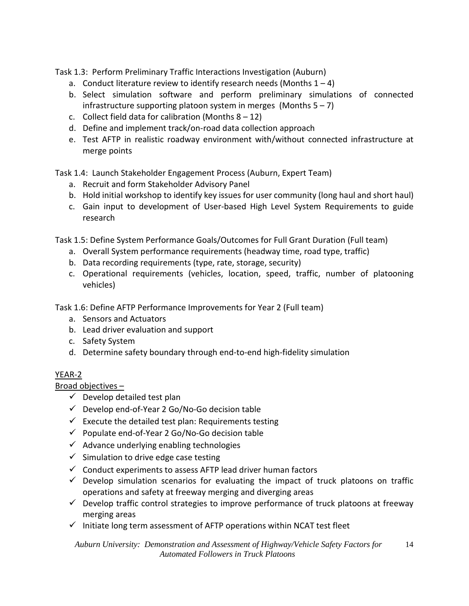Task 1.3: Perform Preliminary Traffic Interactions Investigation (Auburn)

- a. Conduct literature review to identify research needs (Months  $1 4$ )
- b. Select simulation software and perform preliminary simulations of connected infrastructure supporting platoon system in merges (Months  $5 - 7$ )
- c. Collect field data for calibration (Months  $8 12$ )
- d. Define and implement track/on-road data collection approach
- e. Test AFTP in realistic roadway environment with/without connected infrastructure at merge points

Task 1.4: Launch Stakeholder Engagement Process (Auburn, Expert Team)

- a. Recruit and form Stakeholder Advisory Panel
- b. Hold initial workshop to identify key issues for user community (long haul and short haul)
- c. Gain input to development of User-based High Level System Requirements to guide research

Task 1.5: Define System Performance Goals/Outcomes for Full Grant Duration (Full team)

- a. Overall System performance requirements (headway time, road type, traffic)
- b. Data recording requirements (type, rate, storage, security)
- c. Operational requirements (vehicles, location, speed, traffic, number of platooning vehicles)

Task 1.6: Define AFTP Performance Improvements for Year 2 (Full team)

- a. Sensors and Actuators
- b. Lead driver evaluation and support
- c. Safety System
- d. Determine safety boundary through end-to-end high-fidelity simulation

# YEAR-2

Broad objectives –

- $\checkmark$  Develop detailed test plan
- $\checkmark$  Develop end-of-Year 2 Go/No-Go decision table
- $\checkmark$  Execute the detailed test plan: Requirements testing
- $\checkmark$  Populate end-of-Year 2 Go/No-Go decision table
- $\checkmark$  Advance underlying enabling technologies
- $\checkmark$  Simulation to drive edge case testing
- $\checkmark$  Conduct experiments to assess AFTP lead driver human factors
- $\checkmark$  Develop simulation scenarios for evaluating the impact of truck platoons on traffic operations and safety at freeway merging and diverging areas
- $\checkmark$  Develop traffic control strategies to improve performance of truck platoons at freeway merging areas
- $\checkmark$  Initiate long term assessment of AFTP operations within NCAT test fleet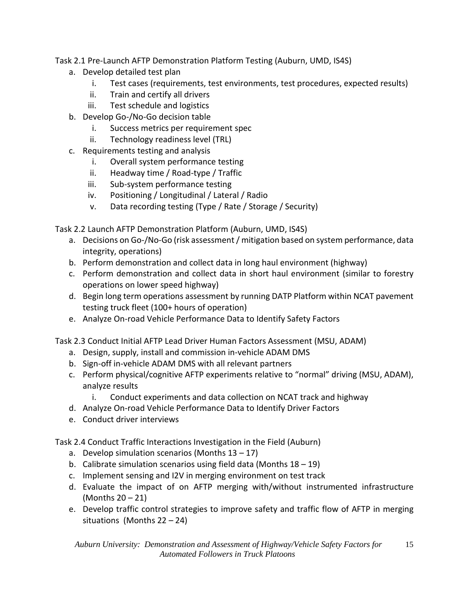## Task 2.1 Pre-Launch AFTP Demonstration Platform Testing (Auburn, UMD, IS4S)

- a. Develop detailed test plan
	- i. Test cases (requirements, test environments, test procedures, expected results)
	- ii. Train and certify all drivers
	- iii. Test schedule and logistics
- b. Develop Go-/No-Go decision table
	- i. Success metrics per requirement spec
	- ii. Technology readiness level (TRL)
- c. Requirements testing and analysis
	- i. Overall system performance testing
	- ii. Headway time / Road-type / Traffic
	- iii. Sub-system performance testing
	- iv. Positioning / Longitudinal / Lateral / Radio
	- v. Data recording testing (Type / Rate / Storage / Security)

Task 2.2 Launch AFTP Demonstration Platform (Auburn, UMD, IS4S)

- a. Decisions on Go-/No-Go (risk assessment / mitigation based on system performance, data integrity, operations)
- b. Perform demonstration and collect data in long haul environment (highway)
- c. Perform demonstration and collect data in short haul environment (similar to forestry operations on lower speed highway)
- d. Begin long term operations assessment by running DATP Platform within NCAT pavement testing truck fleet (100+ hours of operation)
- e. Analyze On-road Vehicle Performance Data to Identify Safety Factors

Task 2.3 Conduct Initial AFTP Lead Driver Human Factors Assessment (MSU, ADAM)

- a. Design, supply, install and commission in-vehicle ADAM DMS
- b. Sign-off in-vehicle ADAM DMS with all relevant partners
- c. Perform physical/cognitive AFTP experiments relative to "normal" driving (MSU, ADAM), analyze results
	- i. Conduct experiments and data collection on NCAT track and highway
- d. Analyze On-road Vehicle Performance Data to Identify Driver Factors
- e. Conduct driver interviews

Task 2.4 Conduct Traffic Interactions Investigation in the Field (Auburn)

- a. Develop simulation scenarios (Months  $13 17$ )
- b. Calibrate simulation scenarios using field data (Months 18 19)
- c. Implement sensing and I2V in merging environment on test track
- d. Evaluate the impact of on AFTP merging with/without instrumented infrastructure (Months 20 – 21)
- e. Develop traffic control strategies to improve safety and traffic flow of AFTP in merging situations (Months 22 – 24)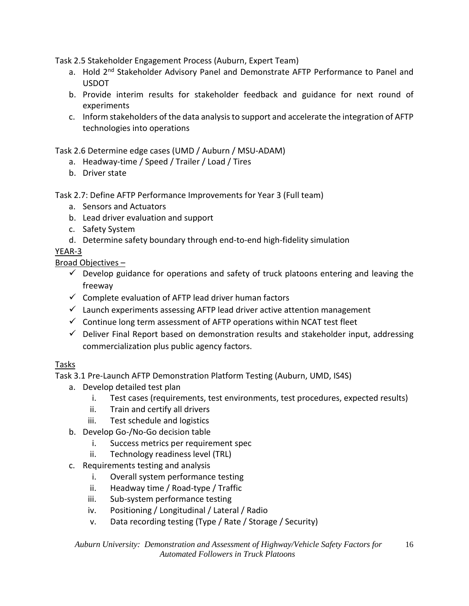Task 2.5 Stakeholder Engagement Process (Auburn, Expert Team)

- a. Hold 2<sup>nd</sup> Stakeholder Advisory Panel and Demonstrate AFTP Performance to Panel and USDOT
- b. Provide interim results for stakeholder feedback and guidance for next round of experiments
- c. Inform stakeholders of the data analysis to support and accelerate the integration of AFTP technologies into operations

Task 2.6 Determine edge cases (UMD / Auburn / MSU-ADAM)

- a. Headway-time / Speed / Trailer / Load / Tires
- b. Driver state

Task 2.7: Define AFTP Performance Improvements for Year 3 (Full team)

- a. Sensors and Actuators
- b. Lead driver evaluation and support
- c. Safety System
- d. Determine safety boundary through end-to-end high-fidelity simulation

YEAR-3

Broad Objectives –

- $\checkmark$  Develop guidance for operations and safety of truck platoons entering and leaving the freeway
- $\checkmark$  Complete evaluation of AFTP lead driver human factors
- $\checkmark$  Launch experiments assessing AFTP lead driver active attention management
- $\checkmark$  Continue long term assessment of AFTP operations within NCAT test fleet
- $\checkmark$  Deliver Final Report based on demonstration results and stakeholder input, addressing commercialization plus public agency factors.

# Tasks

- Task 3.1 Pre-Launch AFTP Demonstration Platform Testing (Auburn, UMD, IS4S)
	- a. Develop detailed test plan
		- i. Test cases (requirements, test environments, test procedures, expected results)
		- ii. Train and certify all drivers
		- iii. Test schedule and logistics
	- b. Develop Go-/No-Go decision table
		- i. Success metrics per requirement spec
		- ii. Technology readiness level (TRL)
	- c. Requirements testing and analysis
		- i. Overall system performance testing
		- ii. Headway time / Road-type / Traffic
		- iii. Sub-system performance testing
		- iv. Positioning / Longitudinal / Lateral / Radio
		- v. Data recording testing (Type / Rate / Storage / Security)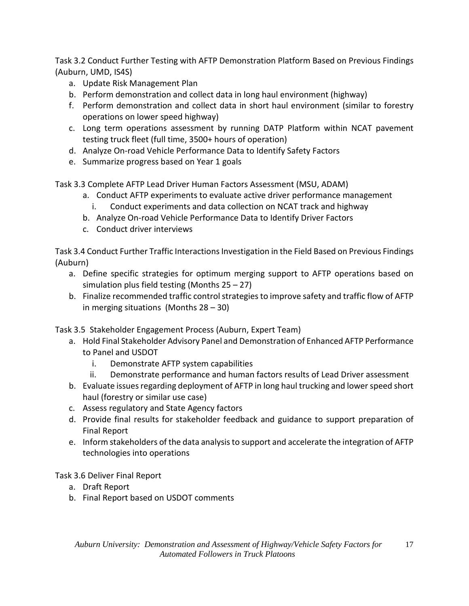Task 3.2 Conduct Further Testing with AFTP Demonstration Platform Based on Previous Findings (Auburn, UMD, IS4S)

- a. Update Risk Management Plan
- b. Perform demonstration and collect data in long haul environment (highway)
- f. Perform demonstration and collect data in short haul environment (similar to forestry operations on lower speed highway)
- c. Long term operations assessment by running DATP Platform within NCAT pavement testing truck fleet (full time, 3500+ hours of operation)
- d. Analyze On-road Vehicle Performance Data to Identify Safety Factors
- e. Summarize progress based on Year 1 goals

Task 3.3 Complete AFTP Lead Driver Human Factors Assessment (MSU, ADAM)

- a. Conduct AFTP experiments to evaluate active driver performance management
	- i. Conduct experiments and data collection on NCAT track and highway
- b. Analyze On-road Vehicle Performance Data to Identify Driver Factors
- c. Conduct driver interviews

Task 3.4 Conduct Further Traffic Interactions Investigation in the Field Based on Previous Findings (Auburn)

- a. Define specific strategies for optimum merging support to AFTP operations based on simulation plus field testing (Months 25 – 27)
- b. Finalize recommended traffic control strategies to improve safety and traffic flow of AFTP in merging situations (Months 28 – 30)

Task 3.5 Stakeholder Engagement Process (Auburn, Expert Team)

- a. Hold Final Stakeholder Advisory Panel and Demonstration of Enhanced AFTP Performance to Panel and USDOT
	- i. Demonstrate AFTP system capabilities
	- ii. Demonstrate performance and human factors results of Lead Driver assessment
- b. Evaluate issues regarding deployment of AFTP in long haul trucking and lower speed short haul (forestry or similar use case)
- c. Assess regulatory and State Agency factors
- d. Provide final results for stakeholder feedback and guidance to support preparation of Final Report
- e. Inform stakeholders of the data analysis to support and accelerate the integration of AFTP technologies into operations

Task 3.6 Deliver Final Report

- a. Draft Report
- b. Final Report based on USDOT comments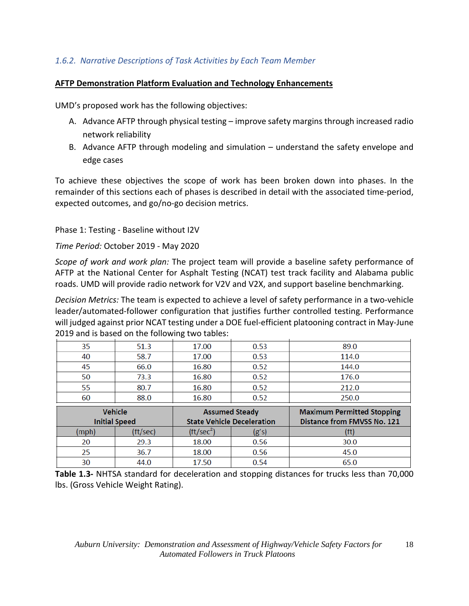# *1.6.2. Narrative Descriptions of Task Activities by Each Team Member*

#### **AFTP Demonstration Platform Evaluation and Technology Enhancements**

UMD's proposed work has the following objectives:

- A. Advance AFTP through physical testing improve safety margins through increased radio network reliability
- B. Advance AFTP through modeling and simulation understand the safety envelope and edge cases

To achieve these objectives the scope of work has been broken down into phases. In the remainder of this sections each of phases is described in detail with the associated time-period, expected outcomes, and go/no-go decision metrics.

Phase 1: Testing - Baseline without I2V

*Time Period:* October 2019 - May 2020

*Scope of work and work plan:* The project team will provide a baseline safety performance of AFTP at the National Center for Asphalt Testing (NCAT) test track facility and Alabama public roads. UMD will provide radio network for V2V and V2X, and support baseline benchmarking.

*Decision Metrics:* The team is expected to achieve a level of safety performance in a two-vehicle leader/automated-follower configuration that justifies further controlled testing. Performance will judged against prior NCAT testing under a DOE fuel-efficient platooning contract in May-June 2019 and is based on the following two tables:

| 35 | 51.3 | 17.00 | 0.53 | 89.0  |
|----|------|-------|------|-------|
| 40 | 58.7 | 17.00 | 0.53 | 114.0 |
| 45 | 66.0 | 16.80 | 0.52 | 144.0 |
| 50 | 73.3 | 16.80 | 0.52 | 176.0 |
| 55 | 80.7 | 16.80 | 0.52 | 212.0 |
| 60 | 88.0 | 16.80 | 0.52 | 250.0 |
| .  |      | . .   | . .  | -- -  |

|       | <b>Vehicle</b><br><b>Initial Speed</b> | <b>Assumed Steady</b><br><b>State Vehicle Deceleration</b> |       | <b>Maximum Permitted Stopping</b><br>Distance from FMVSS No. 121 |  |  |  |
|-------|----------------------------------------|------------------------------------------------------------|-------|------------------------------------------------------------------|--|--|--|
| (mph) | (ft/sec)                               | (tt/sec <sup>2</sup> )                                     | (g's) |                                                                  |  |  |  |
| 20    | 29.3                                   | 18.00                                                      | 0.56  | 30.0                                                             |  |  |  |
| 25.   | 36.7                                   | 18.00                                                      | 0.56  | 45.0                                                             |  |  |  |
| 30    | 44.0                                   | 17.50                                                      | 0.54  | 65.0                                                             |  |  |  |

**Table 1.3-** NHTSA standard for deceleration and stopping distances for trucks less than 70,000 lbs. (Gross Vehicle Weight Rating).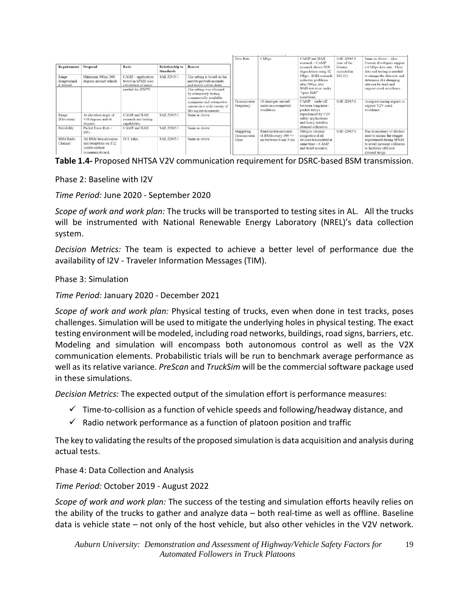| Requirement                          | Proposal                                                                               | <b>Basis</b>                                                      | <b>Relationship to</b> | Reason                                                                               | Data Rate                          | 6 Mbps                                                   | CAMP and BAH<br>research $ CAMP$<br>research shows PER<br>degradation using 12<br>Mbps. BAH research<br>indicates problems<br>after 500m, also<br>BAH test done under<br>"open field"<br>conditions. | SAE J2945/1<br>(one of the<br><b>bitrates</b><br>included in<br>802.11 | Same as above - Also<br>Current developers support<br>a 6 Mbps data rate. More<br>data and testing is needed<br>to change the data rate and<br>determine if a changing<br>rate can be used and<br>support crash avoidance. |
|--------------------------------------|----------------------------------------------------------------------------------------|-------------------------------------------------------------------|------------------------|--------------------------------------------------------------------------------------|------------------------------------|----------------------------------------------------------|------------------------------------------------------------------------------------------------------------------------------------------------------------------------------------------------------|------------------------------------------------------------------------|----------------------------------------------------------------------------------------------------------------------------------------------------------------------------------------------------------------------------|
|                                      |                                                                                        |                                                                   | <b>Standards</b>       |                                                                                      |                                    |                                                          |                                                                                                                                                                                                      |                                                                        |                                                                                                                                                                                                                            |
| Range<br>(longitudinal<br>& lateral) | Minimum 300m; 360<br>degrees around vehicle                                            | CAMP - application<br>tested in SPMD also<br>calculation of range | SAE J2945/1            | The setting is based on the<br>need to provide accurate<br>and timely safety alerts. |                                    |                                                          |                                                                                                                                                                                                      |                                                                        |                                                                                                                                                                                                                            |
|                                      |                                                                                        | needed for DNPW                                                   |                        | The setting was obtained<br>by extensively testing<br>commercially available         |                                    |                                                          |                                                                                                                                                                                                      |                                                                        |                                                                                                                                                                                                                            |
|                                      |                                                                                        |                                                                   |                        | equipment and automotive<br>sensors in a wide variety of<br>driving environments.    | Transmission<br>Frequency          | 10 times per second<br>under non-congested<br>conditions | $CAMP - trade-off$<br>between long inter-<br>packet delays<br>experienced by V2V<br>safety applications<br>and heavy wireless                                                                        | SAE J2945/1                                                            | Accepted among experts to<br>support V2V crash<br>avoidance                                                                                                                                                                |
| Range<br>(Elevation)                 | At elevation angle of<br>$+10$ degrees and -6<br>degrees                               | CAMP and BAH<br>research and testing<br>capabilities              | SAE J2945/1            | Same as above                                                                        | Staggering<br>Transmission<br>Time |                                                          |                                                                                                                                                                                                      |                                                                        |                                                                                                                                                                                                                            |
| Reliability                          | Packet Error Rate <<br>10%                                                             | CAMP and BAH                                                      | SAE J2945/1            | Same as above                                                                        |                                    | Random transmission<br>of BSMs every $100 +$ /-          | channel utilization.<br>Mitigate channel<br>congestion if all<br>devices transmitted at<br>same time $ CAMP$<br>and BAH research                                                                     | SAE J2945/1                                                            | Due to accuracy of devices<br>need to minuc the stagger<br>experienced during SPMD<br>to avoid message collisions<br>to facilitate efficient<br>channel usage                                                              |
| <b>BSM</b> Radio<br>Channel          | All BSM transmissions<br>and receptions on 172<br>(safety-critical<br>communications). | FCC rules.                                                        | SAE J2945/1            | Same as above                                                                        |                                    | ms between 0 and 5 ms                                    |                                                                                                                                                                                                      |                                                                        |                                                                                                                                                                                                                            |

Phase 2: Baseline with I2V

*Time Period:* June 2020 - September 2020

*Scope of work and work plan:* The trucks will be transported to testing sites in AL. All the trucks will be instrumented with National Renewable Energy Laboratory (NREL)'s data collection system.

*Decision Metrics:* The team is expected to achieve a better level of performance due the availability of I2V - Traveler Information Messages (TIM).

#### Phase 3: Simulation

*Time Period:* January 2020 - December 2021

*Scope of work and work plan:* Physical testing of trucks, even when done in test tracks, poses challenges. Simulation will be used to mitigate the underlying holes in physical testing. The exact testing environment will be modeled, including road networks, buildings, road signs, barriers, etc. Modeling and simulation will encompass both autonomous control as well as the V2X communication elements. Probabilistic trials will be run to benchmark average performance as well as its relative variance. *PreScan* and *TruckSim* will be the commercial software package used in these simulations.

*Decision Metrics:* The expected output of the simulation effort is performance measures:

- $\checkmark$  Time-to-collision as a function of vehicle speeds and following/headway distance, and
- $\checkmark$  Radio network performance as a function of platoon position and traffic

The key to validating the results of the proposed simulation is data acquisition and analysis during actual tests.

Phase 4: Data Collection and Analysis

*Time Period:* October 2019 - August 2022

*Scope of work and work plan:* The success of the testing and simulation efforts heavily relies on the ability of the trucks to gather and analyze data – both real-time as well as offline. Baseline data is vehicle state – not only of the host vehicle, but also other vehicles in the V2V network.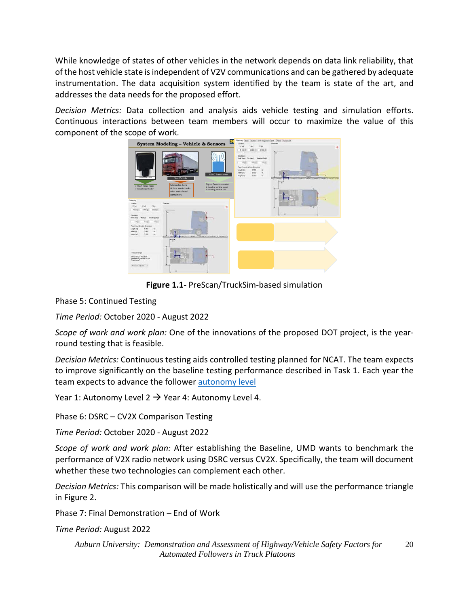While knowledge of states of other vehicles in the network depends on data link reliability, that of the host vehicle state is independent of V2V communications and can be gathered by adequate instrumentation. The data acquisition system identified by the team is state of the art, and addresses the data needs for the proposed effort.

*Decision Metrics:* Data collection and analysis aids vehicle testing and simulation efforts. Continuous interactions between team members will occur to maximize the value of this component of the scope of work.



**Figure 1.1-** PreScan/TruckSim-based simulation

Phase 5: Continued Testing

*Time Period:* October 2020 - August 2022

*Scope of work and work plan:* One of the innovations of the proposed DOT project, is the yearround testing that is feasible.

*Decision Metrics:* Continuous testing aids controlled testing planned for NCAT. The team expects to improve significantly on the baseline testing performance described in Task 1. Each year the team expects to advance the follower **autonomy** level

Year 1: Autonomy Level 2  $\rightarrow$  Year 4: Autonomy Level 4.

Phase 6: DSRC – CV2X Comparison Testing

*Time Period:* October 2020 - August 2022

*Scope of work and work plan:* After establishing the Baseline, UMD wants to benchmark the performance of V2X radio network using DSRC versus CV2X. Specifically, the team will document whether these two technologies can complement each other.

*Decision Metrics:* This comparison will be made holistically and will use the performance triangle in Figure 2.

Phase 7: Final Demonstration – End of Work

*Time Period:* August 2022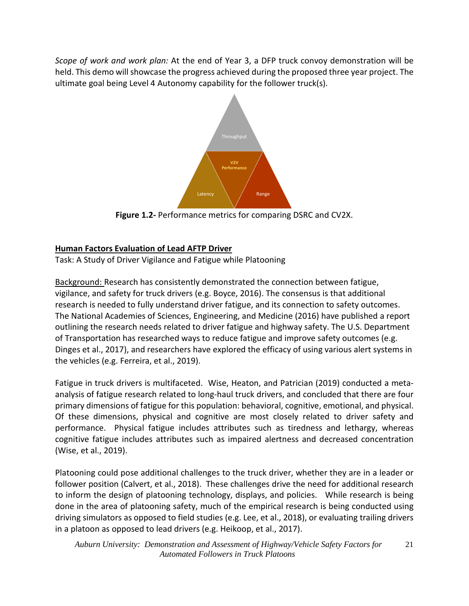*Scope of work and work plan:* At the end of Year 3, a DFP truck convoy demonstration will be held. This demo will showcase the progress achieved during the proposed three year project. The ultimate goal being Level 4 Autonomy capability for the follower truck(s).



**Figure 1.2-** Performance metrics for comparing DSRC and CV2X.

# **Human Factors Evaluation of Lead AFTP Driver**

Task: A Study of Driver Vigilance and Fatigue while Platooning

Background: Research has consistently demonstrated the connection between fatigue, vigilance, and safety for truck drivers (e.g. Boyce, 2016). The consensus is that additional research is needed to fully understand driver fatigue, and its connection to safety outcomes. The National Academies of Sciences, Engineering, and Medicine (2016) have published a report outlining the research needs related to driver fatigue and highway safety. The U.S. Department of Transportation has researched ways to reduce fatigue and improve safety outcomes (e.g. Dinges et al., 2017), and researchers have explored the efficacy of using various alert systems in the vehicles (e.g. Ferreira, et al., 2019).

Fatigue in truck drivers is multifaceted. Wise, Heaton, and Patrician (2019) conducted a metaanalysis of fatigue research related to long-haul truck drivers, and concluded that there are four primary dimensions of fatigue for this population: behavioral, cognitive, emotional, and physical. Of these dimensions, physical and cognitive are most closely related to driver safety and performance. Physical fatigue includes attributes such as tiredness and lethargy, whereas cognitive fatigue includes attributes such as impaired alertness and decreased concentration (Wise, et al., 2019).

Platooning could pose additional challenges to the truck driver, whether they are in a leader or follower position (Calvert, et al., 2018). These challenges drive the need for additional research to inform the design of platooning technology, displays, and policies. While research is being done in the area of platooning safety, much of the empirical research is being conducted using driving simulators as opposed to field studies (e.g. Lee, et al., 2018), or evaluating trailing drivers in a platoon as opposed to lead drivers (e.g. Heikoop, et al., 2017).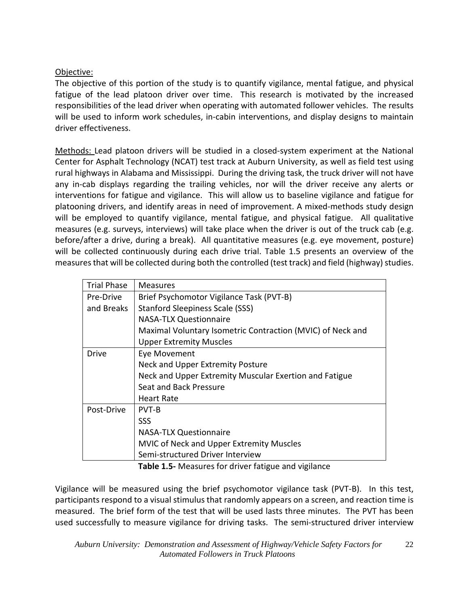## Objective:

The objective of this portion of the study is to quantify vigilance, mental fatigue, and physical fatigue of the lead platoon driver over time. This research is motivated by the increased responsibilities of the lead driver when operating with automated follower vehicles. The results will be used to inform work schedules, in-cabin interventions, and display designs to maintain driver effectiveness.

Methods: Lead platoon drivers will be studied in a closed-system experiment at the National Center for Asphalt Technology (NCAT) test track at Auburn University, as well as field test using rural highways in Alabama and Mississippi. During the driving task, the truck driver will not have any in-cab displays regarding the trailing vehicles, nor will the driver receive any alerts or interventions for fatigue and vigilance. This will allow us to baseline vigilance and fatigue for platooning drivers, and identify areas in need of improvement. A mixed-methods study design will be employed to quantify vigilance, mental fatigue, and physical fatigue. All qualitative measures (e.g. surveys, interviews) will take place when the driver is out of the truck cab (e.g. before/after a drive, during a break). All quantitative measures (e.g. eye movement, posture) will be collected continuously during each drive trial. Table 1.5 presents an overview of the measures that will be collected during both the controlled (test track) and field (highway) studies.

| <b>Trial Phase</b> | <b>Measures</b>                                            |  |  |  |  |  |  |
|--------------------|------------------------------------------------------------|--|--|--|--|--|--|
| Pre-Drive          | Brief Psychomotor Vigilance Task (PVT-B)                   |  |  |  |  |  |  |
| and Breaks         | <b>Stanford Sleepiness Scale (SSS)</b>                     |  |  |  |  |  |  |
|                    | <b>NASA-TLX Questionnaire</b>                              |  |  |  |  |  |  |
|                    | Maximal Voluntary Isometric Contraction (MVIC) of Neck and |  |  |  |  |  |  |
|                    | <b>Upper Extremity Muscles</b>                             |  |  |  |  |  |  |
| Drive              | Eye Movement                                               |  |  |  |  |  |  |
|                    | Neck and Upper Extremity Posture                           |  |  |  |  |  |  |
|                    | Neck and Upper Extremity Muscular Exertion and Fatigue     |  |  |  |  |  |  |
|                    | Seat and Back Pressure                                     |  |  |  |  |  |  |
|                    | <b>Heart Rate</b>                                          |  |  |  |  |  |  |
| Post-Drive         | <b>PVT-B</b>                                               |  |  |  |  |  |  |
|                    | <b>SSS</b>                                                 |  |  |  |  |  |  |
|                    | <b>NASA-TLX Questionnaire</b>                              |  |  |  |  |  |  |
|                    | <b>MVIC of Neck and Upper Extremity Muscles</b>            |  |  |  |  |  |  |
|                    | Semi-structured Driver Interview                           |  |  |  |  |  |  |

**Table 1.5-** Measures for driver fatigue and vigilance

Vigilance will be measured using the brief psychomotor vigilance task (PVT-B). In this test, participants respond to a visual stimulus that randomly appears on a screen, and reaction time is measured. The brief form of the test that will be used lasts three minutes. The PVT has been used successfully to measure vigilance for driving tasks. The semi-structured driver interview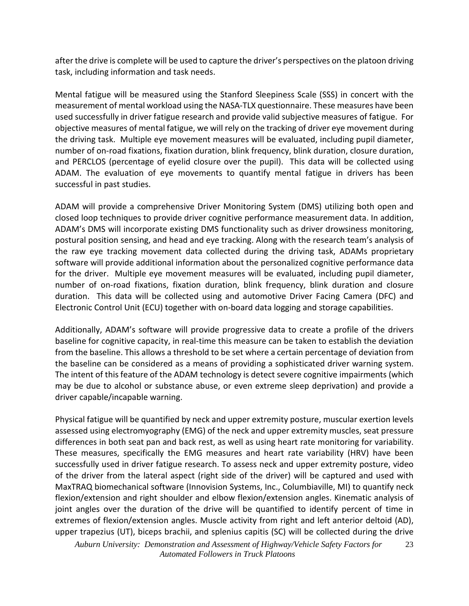after the drive is complete will be used to capture the driver's perspectives on the platoon driving task, including information and task needs.

Mental fatigue will be measured using the Stanford Sleepiness Scale (SSS) in concert with the measurement of mental workload using the NASA-TLX questionnaire. These measures have been used successfully in driver fatigue research and provide valid subjective measures of fatigue. For objective measures of mental fatigue, we will rely on the tracking of driver eye movement during the driving task. Multiple eye movement measures will be evaluated, including pupil diameter, number of on-road fixations, fixation duration, blink frequency, blink duration, closure duration, and PERCLOS (percentage of eyelid closure over the pupil). This data will be collected using ADAM. The evaluation of eye movements to quantify mental fatigue in drivers has been successful in past studies.

ADAM will provide a comprehensive Driver Monitoring System (DMS) utilizing both open and closed loop techniques to provide driver cognitive performance measurement data. In addition, ADAM's DMS will incorporate existing DMS functionality such as driver drowsiness monitoring, postural position sensing, and head and eye tracking. Along with the research team's analysis of the raw eye tracking movement data collected during the driving task, ADAMs proprietary software will provide additional information about the personalized cognitive performance data for the driver. Multiple eye movement measures will be evaluated, including pupil diameter, number of on-road fixations, fixation duration, blink frequency, blink duration and closure duration. This data will be collected using and automotive Driver Facing Camera (DFC) and Electronic Control Unit (ECU) together with on-board data logging and storage capabilities.

Additionally, ADAM's software will provide progressive data to create a profile of the drivers baseline for cognitive capacity, in real-time this measure can be taken to establish the deviation from the baseline. This allows a threshold to be set where a certain percentage of deviation from the baseline can be considered as a means of providing a sophisticated driver warning system. The intent of this feature of the ADAM technology is detect severe cognitive impairments (which may be due to alcohol or substance abuse, or even extreme sleep deprivation) and provide a driver capable/incapable warning.

Physical fatigue will be quantified by neck and upper extremity posture, muscular exertion levels assessed using electromyography (EMG) of the neck and upper extremity muscles, seat pressure differences in both seat pan and back rest, as well as using heart rate monitoring for variability. These measures, specifically the EMG measures and heart rate variability (HRV) have been successfully used in driver fatigue research. To assess neck and upper extremity posture, video of the driver from the lateral aspect (right side of the driver) will be captured and used with MaxTRAQ biomechanical software (Innovision Systems, Inc., Columbiaville, MI) to quantify neck flexion/extension and right shoulder and elbow flexion/extension angles. Kinematic analysis of joint angles over the duration of the drive will be quantified to identify percent of time in extremes of flexion/extension angles. Muscle activity from right and left anterior deltoid (AD), upper trapezius (UT), biceps brachii, and splenius capitis (SC) will be collected during the drive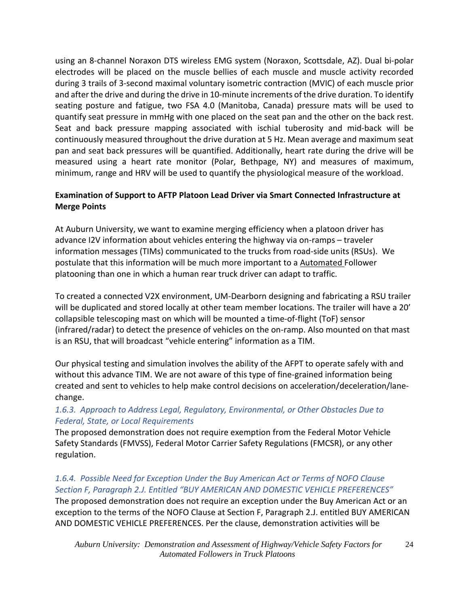using an 8-channel Noraxon DTS wireless EMG system (Noraxon, Scottsdale, AZ). Dual bi-polar electrodes will be placed on the muscle bellies of each muscle and muscle activity recorded during 3 trails of 3-second maximal voluntary isometric contraction (MVIC) of each muscle prior and after the drive and during the drive in 10-minute increments of the drive duration. To identify seating posture and fatigue, two FSA 4.0 (Manitoba, Canada) pressure mats will be used to quantify seat pressure in mmHg with one placed on the seat pan and the other on the back rest. Seat and back pressure mapping associated with ischial tuberosity and mid-back will be continuously measured throughout the drive duration at 5 Hz. Mean average and maximum seat pan and seat back pressures will be quantified. Additionally, heart rate during the drive will be measured using a heart rate monitor (Polar, Bethpage, NY) and measures of maximum, minimum, range and HRV will be used to quantify the physiological measure of the workload.

## **Examination of Support to AFTP Platoon Lead Driver via Smart Connected Infrastructure at Merge Points**

At Auburn University, we want to examine merging efficiency when a platoon driver has advance I2V information about vehicles entering the highway via on-ramps – traveler information messages (TIMs) communicated to the trucks from road-side units (RSUs). We postulate that this information will be much more important to a Automated Follower platooning than one in which a human rear truck driver can adapt to traffic.

To created a connected V2X environment, UM-Dearborn designing and fabricating a RSU trailer will be duplicated and stored locally at other team member locations. The trailer will have a 20' collapsible telescoping mast on which will be mounted a time-of-flight (ToF) sensor (infrared/radar) to detect the presence of vehicles on the on-ramp. Also mounted on that mast is an RSU, that will broadcast "vehicle entering" information as a TIM.

Our physical testing and simulation involves the ability of the AFPT to operate safely with and without this advance TIM. We are not aware of this type of fine-grained information being created and sent to vehicles to help make control decisions on acceleration/deceleration/lanechange.

## *1.6.3. Approach to Address Legal, Regulatory, Environmental, or Other Obstacles Due to Federal, State, or Local Requirements*

The proposed demonstration does not require exemption from the Federal Motor Vehicle Safety Standards (FMVSS), Federal Motor Carrier Safety Regulations (FMCSR), or any other regulation.

#### *1.6.4. Possible Need for Exception Under the Buy American Act or Terms of NOFO Clause Section F, Paragraph 2.J. Entitled "BUY AMERICAN AND DOMESTIC VEHICLE PREFERENCES"* The proposed demonstration does not require an exception under the Buy American Act or an exception to the terms of the NOFO Clause at Section F, Paragraph 2.J. entitled BUY AMERICAN AND DOMESTIC VEHICLE PREFERENCES. Per the clause, demonstration activities will be